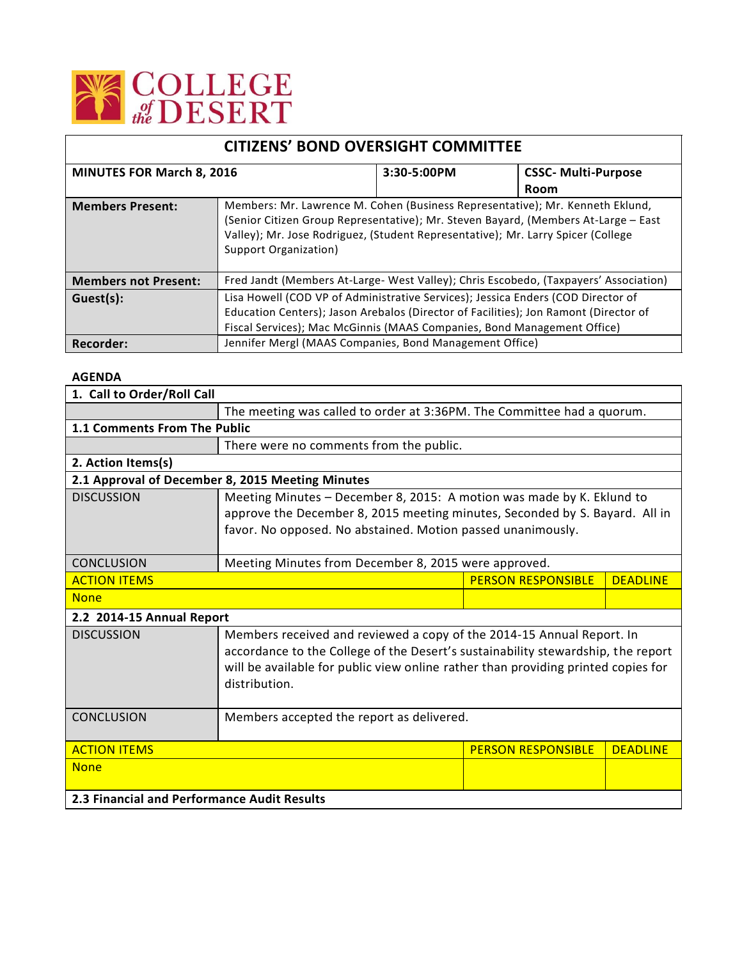

| <b>CITIZENS' BOND OVERSIGHT COMMITTEE</b> |                                                                                                                                                                                                                                                                                  |             |                            |  |
|-------------------------------------------|----------------------------------------------------------------------------------------------------------------------------------------------------------------------------------------------------------------------------------------------------------------------------------|-------------|----------------------------|--|
| <b>MINUTES FOR March 8, 2016</b>          |                                                                                                                                                                                                                                                                                  | 3:30-5:00PM | <b>CSSC- Multi-Purpose</b> |  |
|                                           |                                                                                                                                                                                                                                                                                  |             | <b>Room</b>                |  |
| <b>Members Present:</b>                   | Members: Mr. Lawrence M. Cohen (Business Representative); Mr. Kenneth Eklund,<br>(Senior Citizen Group Representative); Mr. Steven Bayard, (Members At-Large - East<br>Valley); Mr. Jose Rodriguez, (Student Representative); Mr. Larry Spicer (College<br>Support Organization) |             |                            |  |
| <b>Members not Present:</b>               | Fred Jandt (Members At-Large- West Valley); Chris Escobedo, (Taxpayers' Association)                                                                                                                                                                                             |             |                            |  |
| Guest(s):                                 | Lisa Howell (COD VP of Administrative Services); Jessica Enders (COD Director of<br>Education Centers); Jason Arebalos (Director of Facilities); Jon Ramont (Director of<br>Fiscal Services); Mac McGinnis (MAAS Companies, Bond Management Office)                              |             |                            |  |
| Recorder:                                 | Jennifer Mergl (MAAS Companies, Bond Management Office)                                                                                                                                                                                                                          |             |                            |  |

## **AGENDA**

| 1. Call to Order/Roll Call                  |                                                                                   |                           |                 |  |  |
|---------------------------------------------|-----------------------------------------------------------------------------------|---------------------------|-----------------|--|--|
|                                             | The meeting was called to order at 3:36PM. The Committee had a quorum.            |                           |                 |  |  |
| 1.1 Comments From The Public                |                                                                                   |                           |                 |  |  |
|                                             | There were no comments from the public.                                           |                           |                 |  |  |
| 2. Action Items(s)                          |                                                                                   |                           |                 |  |  |
|                                             | 2.1 Approval of December 8, 2015 Meeting Minutes                                  |                           |                 |  |  |
| <b>DISCUSSION</b>                           | Meeting Minutes - December 8, 2015: A motion was made by K. Eklund to             |                           |                 |  |  |
|                                             | approve the December 8, 2015 meeting minutes, Seconded by S. Bayard. All in       |                           |                 |  |  |
|                                             | favor. No opposed. No abstained. Motion passed unanimously.                       |                           |                 |  |  |
|                                             |                                                                                   |                           |                 |  |  |
| <b>CONCLUSION</b>                           | Meeting Minutes from December 8, 2015 were approved.                              |                           |                 |  |  |
| <b>ACTION ITEMS</b>                         |                                                                                   |                           | <b>DEADLINE</b> |  |  |
| <b>None</b>                                 |                                                                                   |                           |                 |  |  |
| 2.2 2014-15 Annual Report                   |                                                                                   |                           |                 |  |  |
| <b>DISCUSSION</b>                           | Members received and reviewed a copy of the 2014-15 Annual Report. In             |                           |                 |  |  |
|                                             | accordance to the College of the Desert's sustainability stewardship, the report  |                           |                 |  |  |
|                                             | will be available for public view online rather than providing printed copies for |                           |                 |  |  |
|                                             | distribution.                                                                     |                           |                 |  |  |
|                                             |                                                                                   |                           |                 |  |  |
| <b>CONCLUSION</b>                           | Members accepted the report as delivered.                                         |                           |                 |  |  |
|                                             |                                                                                   |                           |                 |  |  |
| <b>ACTION ITEMS</b>                         |                                                                                   | <b>PERSON RESPONSIBLE</b> | <b>DEADLINE</b> |  |  |
| <b>None</b>                                 |                                                                                   |                           |                 |  |  |
|                                             |                                                                                   |                           |                 |  |  |
| 2.3 Financial and Performance Audit Results |                                                                                   |                           |                 |  |  |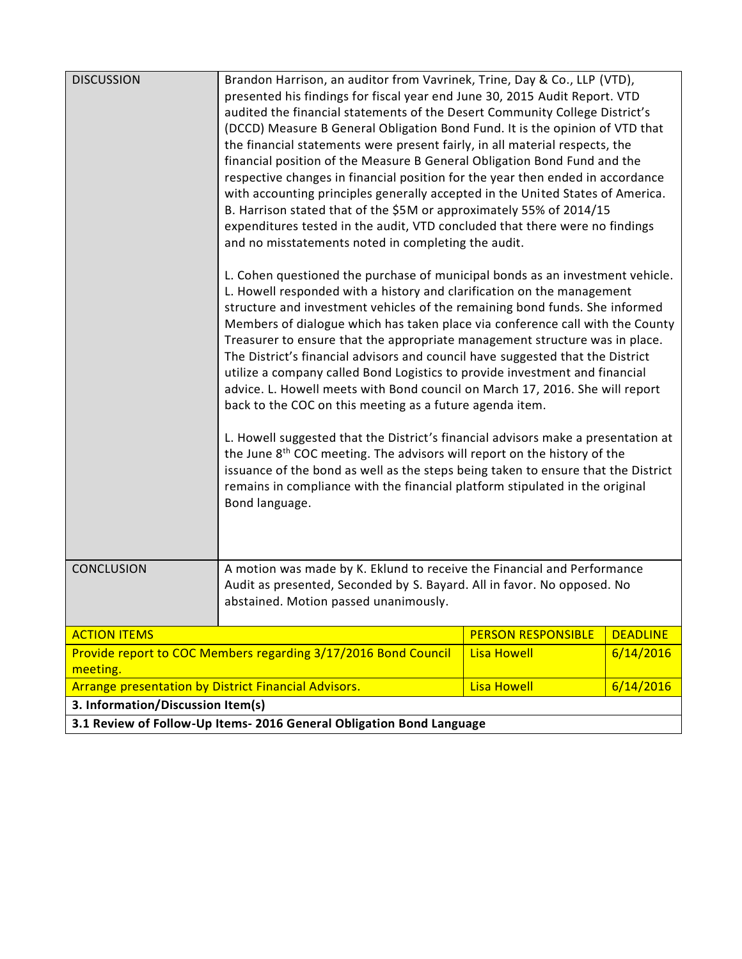| <b>DISCUSSION</b>                                                          | Brandon Harrison, an auditor from Vavrinek, Trine, Day & Co., LLP (VTD),<br>presented his findings for fiscal year end June 30, 2015 Audit Report. VTD<br>audited the financial statements of the Desert Community College District's<br>(DCCD) Measure B General Obligation Bond Fund. It is the opinion of VTD that<br>the financial statements were present fairly, in all material respects, the<br>financial position of the Measure B General Obligation Bond Fund and the<br>respective changes in financial position for the year then ended in accordance<br>with accounting principles generally accepted in the United States of America.<br>B. Harrison stated that of the \$5M or approximately 55% of 2014/15<br>expenditures tested in the audit, VTD concluded that there were no findings<br>and no misstatements noted in completing the audit. |                           |                 |  |  |
|----------------------------------------------------------------------------|-------------------------------------------------------------------------------------------------------------------------------------------------------------------------------------------------------------------------------------------------------------------------------------------------------------------------------------------------------------------------------------------------------------------------------------------------------------------------------------------------------------------------------------------------------------------------------------------------------------------------------------------------------------------------------------------------------------------------------------------------------------------------------------------------------------------------------------------------------------------|---------------------------|-----------------|--|--|
|                                                                            | L. Cohen questioned the purchase of municipal bonds as an investment vehicle.<br>L. Howell responded with a history and clarification on the management<br>structure and investment vehicles of the remaining bond funds. She informed<br>Members of dialogue which has taken place via conference call with the County<br>Treasurer to ensure that the appropriate management structure was in place.<br>The District's financial advisors and council have suggested that the District<br>utilize a company called Bond Logistics to provide investment and financial<br>advice. L. Howell meets with Bond council on March 17, 2016. She will report<br>back to the COC on this meeting as a future agenda item.                                                                                                                                               |                           |                 |  |  |
|                                                                            | L. Howell suggested that the District's financial advisors make a presentation at<br>the June 8 <sup>th</sup> COC meeting. The advisors will report on the history of the<br>issuance of the bond as well as the steps being taken to ensure that the District<br>remains in compliance with the financial platform stipulated in the original<br>Bond language.                                                                                                                                                                                                                                                                                                                                                                                                                                                                                                  |                           |                 |  |  |
| <b>CONCLUSION</b>                                                          | A motion was made by K. Eklund to receive the Financial and Performance<br>Audit as presented, Seconded by S. Bayard. All in favor. No opposed. No<br>abstained. Motion passed unanimously.                                                                                                                                                                                                                                                                                                                                                                                                                                                                                                                                                                                                                                                                       |                           |                 |  |  |
| <b>ACTION ITEMS</b>                                                        |                                                                                                                                                                                                                                                                                                                                                                                                                                                                                                                                                                                                                                                                                                                                                                                                                                                                   | <b>PERSON RESPONSIBLE</b> | <b>DEADLINE</b> |  |  |
| Provide report to COC Members regarding 3/17/2016 Bond Council<br>meeting. |                                                                                                                                                                                                                                                                                                                                                                                                                                                                                                                                                                                                                                                                                                                                                                                                                                                                   | <b>Lisa Howell</b>        | 6/14/2016       |  |  |
| Arrange presentation by District Financial Advisors.                       |                                                                                                                                                                                                                                                                                                                                                                                                                                                                                                                                                                                                                                                                                                                                                                                                                                                                   | <b>Lisa Howell</b>        | 6/14/2016       |  |  |
| 3. Information/Discussion Item(s)                                          |                                                                                                                                                                                                                                                                                                                                                                                                                                                                                                                                                                                                                                                                                                                                                                                                                                                                   |                           |                 |  |  |
| 3.1 Review of Follow-Up Items- 2016 General Obligation Bond Language       |                                                                                                                                                                                                                                                                                                                                                                                                                                                                                                                                                                                                                                                                                                                                                                                                                                                                   |                           |                 |  |  |